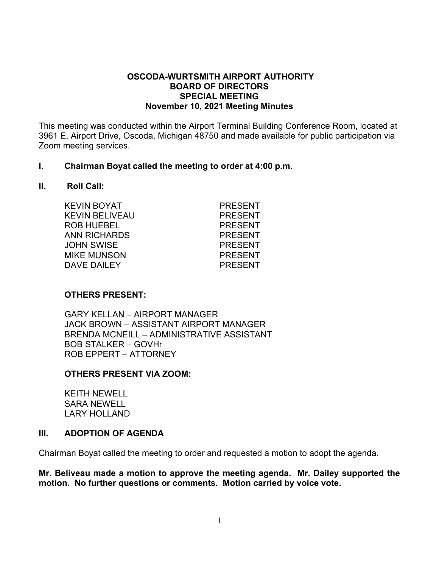### **OSCODA-WURTSMITH AIRPORT AUTHORITY BOARD OF DIRECTORS SPECIAL MEETING November 10, 2021 Meeting Minutes**

This meeting was conducted within the Airport Terminal Building Conference Room, located at 3961 E. Airport Drive, Oscoda, Michigan 48750 and made available for public participation via Zoom meeting services.

#### **I. Chairman Boyat called the meeting to order at 4:00 p.m.**

#### **II. Roll Call:**

| KEVIN BOYAT        | <b>PRESENT</b> |
|--------------------|----------------|
| KEVIN BELIVEAU     | <b>PRESENT</b> |
| ROB HUEBEL         | <b>PRESENT</b> |
| ANN RICHARDS       | <b>PRESENT</b> |
| JOHN SWISE         | <b>PRESENT</b> |
| <b>MIKE MUNSON</b> | <b>PRESENT</b> |
| <b>DAVE DAILEY</b> | <b>PRESENT</b> |
|                    |                |

### **OTHERS PRESENT:**

GARY KELLAN – AIRPORT MANAGER JACK BROWN – ASSISTANT AIRPORT MANAGER BRENDA MCNEILL – ADMINISTRATIVE ASSISTANT BOB STALKER – GOVHr ROB EPPERT – ATTORNEY

### **OTHERS PRESENT VIA ZOOM:**

KEITH NEWELL SARA NEWELL LARY HOLLAND

### **III. ADOPTION OF AGENDA**

Chairman Boyat called the meeting to order and requested a motion to adopt the agenda.

**Mr. Beliveau made a motion to approve the meeting agenda. Mr. Dailey supported the motion. No further questions or comments. Motion carried by voice vote.**